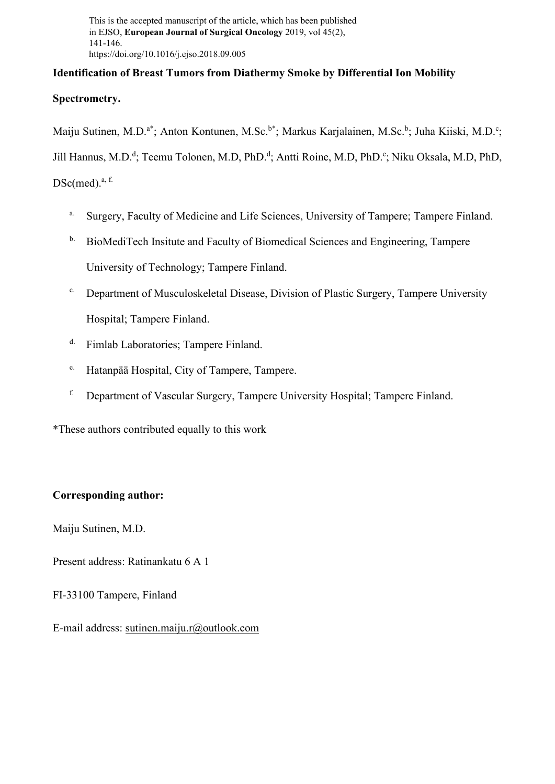This is the accepted manuscript of the article, which has been published in EJSO, **European Journal of Surgical Oncology** 2019, vol 45(2), 141-146. https://doi.org/10.1016/j.ejso.2018.09.005

# **Identification of Breast Tumors from Diathermy Smoke by Differential Ion Mobility**

## **Spectrometry.**

Maiju Sutinen, M.D.<sup>a\*</sup>; Anton Kontunen, M.Sc.<sup>b\*</sup>; Markus Karjalainen, M.Sc.<sup>b</sup>; Juha Kiiski, M.D.<sup>c</sup>;

Jill Hannus, M.D.<sup>d</sup>; Teemu Tolonen, M.D, PhD.<sup>d</sup>; Antti Roine, M.D, PhD.<sup>e</sup>; Niku Oksala, M.D, PhD,

 $DSc(med).$ <sup>a, f.</sup>

- <sup>a.</sup> Surgery, Faculty of Medicine and Life Sciences, University of Tampere; Tampere Finland.
- <sup>b.</sup> BioMediTech Insitute and Faculty of Biomedical Sciences and Engineering, Tampere University of Technology; Tampere Finland.
- c. Department of Musculoskeletal Disease, Division of Plastic Surgery, Tampere University Hospital; Tampere Finland.
- d. Fimlab Laboratories; Tampere Finland.
- e. Hatanpää Hospital, City of Tampere, Tampere.
- f. Department of Vascular Surgery, Tampere University Hospital; Tampere Finland.

\*These authors contributed equally to this work

# **Corresponding author:**

Maiju Sutinen, M.D.

Present address: Ratinankatu 6 A 1

FI-33100 Tampere, Finland

E-mail address: sutinen.maiju.r@outlook.com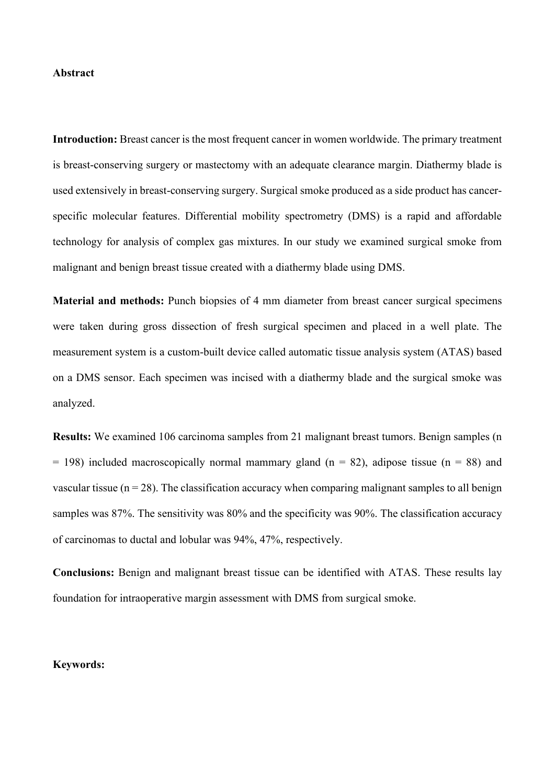#### **Abstract**

**Introduction:** Breast cancer is the most frequent cancer in women worldwide. The primary treatment is breast-conserving surgery or mastectomy with an adequate clearance margin. Diathermy blade is used extensively in breast-conserving surgery. Surgical smoke produced as a side product has cancerspecific molecular features. Differential mobility spectrometry (DMS) is a rapid and affordable technology for analysis of complex gas mixtures. In our study we examined surgical smoke from malignant and benign breast tissue created with a diathermy blade using DMS.

**Material and methods:** Punch biopsies of 4 mm diameter from breast cancer surgical specimens were taken during gross dissection of fresh surgical specimen and placed in a well plate. The measurement system is a custom-built device called automatic tissue analysis system (ATAS) based on a DMS sensor. Each specimen was incised with a diathermy blade and the surgical smoke was analyzed.

**Results:** We examined 106 carcinoma samples from 21 malignant breast tumors. Benign samples (n  $= 198$ ) included macroscopically normal mammary gland (n = 82), adipose tissue (n = 88) and vascular tissue ( $n = 28$ ). The classification accuracy when comparing malignant samples to all benign samples was 87%. The sensitivity was 80% and the specificity was 90%. The classification accuracy of carcinomas to ductal and lobular was 94%, 47%, respectively.

**Conclusions:** Benign and malignant breast tissue can be identified with ATAS. These results lay foundation for intraoperative margin assessment with DMS from surgical smoke.

#### **Keywords:**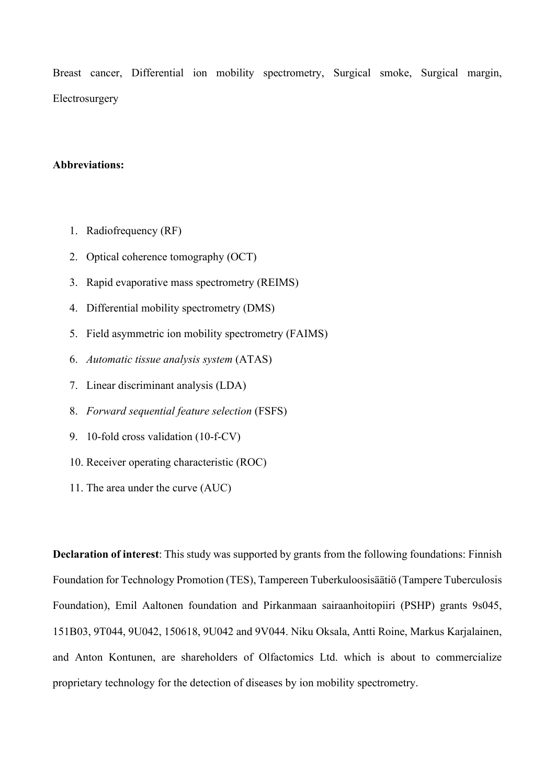Breast cancer, Differential ion mobility spectrometry, Surgical smoke, Surgical margin, Electrosurgery

#### **Abbreviations:**

- 1. Radiofrequency (RF)
- 2. Optical coherence tomography (OCT)
- 3. Rapid evaporative mass spectrometry (REIMS)
- 4. Differential mobility spectrometry (DMS)
- 5. Field asymmetric ion mobility spectrometry (FAIMS)
- 6. *Automatic tissue analysis system* (ATAS)
- 7. Linear discriminant analysis (LDA)
- 8. *Forward sequential feature selection* (FSFS)
- 9. 10-fold cross validation (10-f-CV)
- 10. Receiver operating characteristic (ROC)
- 11. The area under the curve (AUC)

**Declaration of interest**: This study was supported by grants from the following foundations: Finnish Foundation for Technology Promotion (TES), Tampereen Tuberkuloosisäätiö (Tampere Tuberculosis Foundation), Emil Aaltonen foundation and Pirkanmaan sairaanhoitopiiri (PSHP) grants 9s045, 151B03, 9T044, 9U042, 150618, 9U042 and 9V044. Niku Oksala, Antti Roine, Markus Karjalainen, and Anton Kontunen, are shareholders of Olfactomics Ltd. which is about to commercialize proprietary technology for the detection of diseases by ion mobility spectrometry.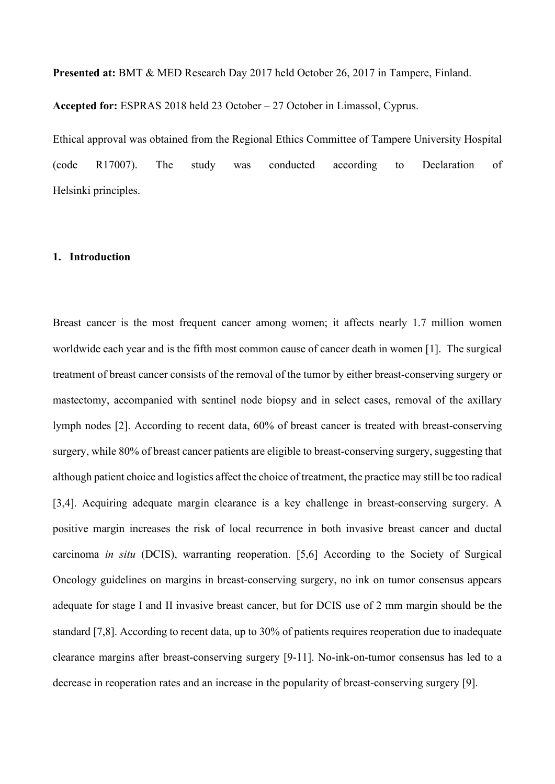**Presented at:** BMT & MED Research Day 2017 held October 26, 2017 in Tampere, Finland.

**Accepted for:** ESPRAS 2018 held 23 October – 27 October in Limassol, Cyprus.

Ethical approval was obtained from the Regional Ethics Committee of Tampere University Hospital (code R17007). The study was conducted according to Declaration of Helsinki principles.

### **1. Introduction**

Breast cancer is the most frequent cancer among women; it affects nearly 1.7 million women worldwide each year and is the fifth most common cause of cancer death in women [1]. The surgical treatment of breast cancer consists of the removal of the tumor by either breast-conserving surgery or mastectomy, accompanied with sentinel node biopsy and in select cases, removal of the axillary lymph nodes [2]. According to recent data, 60% of breast cancer is treated with breast-conserving surgery, while 80% of breast cancer patients are eligible to breast-conserving surgery, suggesting that although patient choice and logistics affect the choice of treatment, the practice may still be too radical [3,4]. Acquiring adequate margin clearance is a key challenge in breast-conserving surgery. A positive margin increases the risk of local recurrence in both invasive breast cancer and ductal carcinoma *in situ* (DCIS), warranting reoperation. [5,6] According to the Society of Surgical Oncology guidelines on margins in breast-conserving surgery, no ink on tumor consensus appears adequate for stage I and II invasive breast cancer, but for DCIS use of 2 mm margin should be the standard [7,8]. According to recent data, up to 30% of patients requires reoperation due to inadequate clearance margins after breast-conserving surgery [9-11]. No-ink-on-tumor consensus has led to a decrease in reoperation rates and an increase in the popularity of breast-conserving surgery [9].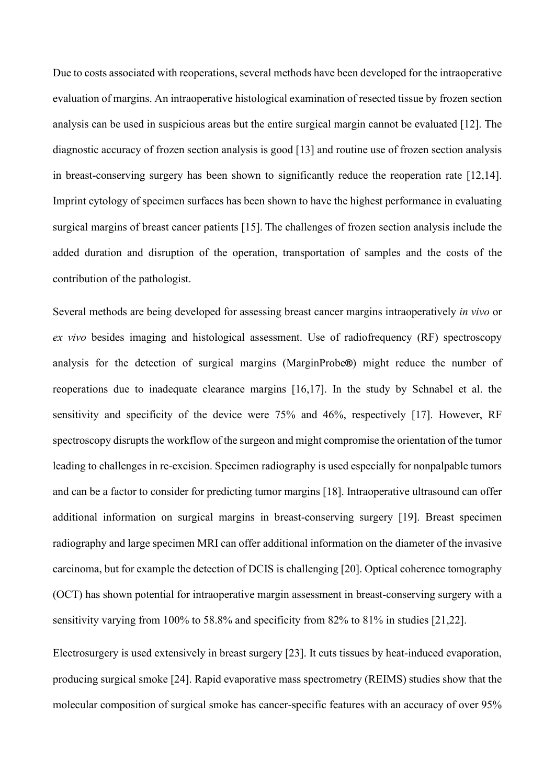Due to costs associated with reoperations, several methods have been developed for the intraoperative evaluation of margins. An intraoperative histological examination of resected tissue by frozen section analysis can be used in suspicious areas but the entire surgical margin cannot be evaluated [12]. The diagnostic accuracy of frozen section analysis is good [13] and routine use of frozen section analysis in breast-conserving surgery has been shown to significantly reduce the reoperation rate [12,14]. Imprint cytology of specimen surfaces has been shown to have the highest performance in evaluating surgical margins of breast cancer patients [15]. The challenges of frozen section analysis include the added duration and disruption of the operation, transportation of samples and the costs of the contribution of the pathologist.

Several methods are being developed for assessing breast cancer margins intraoperatively *in vivo* or *ex vivo* besides imaging and histological assessment. Use of radiofrequency (RF) spectroscopy analysis for the detection of surgical margins (MarginProbe**®**) might reduce the number of reoperations due to inadequate clearance margins [16,17]. In the study by Schnabel et al. the sensitivity and specificity of the device were 75% and 46%, respectively [17]. However, RF spectroscopy disrupts the workflow of the surgeon and might compromise the orientation of the tumor leading to challenges in re-excision. Specimen radiography is used especially for nonpalpable tumors and can be a factor to consider for predicting tumor margins [18]. Intraoperative ultrasound can offer additional information on surgical margins in breast-conserving surgery [19]. Breast specimen radiography and large specimen MRI can offer additional information on the diameter of the invasive carcinoma, but for example the detection of DCIS is challenging [20]. Optical coherence tomography (OCT) has shown potential for intraoperative margin assessment in breast-conserving surgery with a sensitivity varying from 100% to 58.8% and specificity from 82% to 81% in studies [21,22].

Electrosurgery is used extensively in breast surgery [23]. It cuts tissues by heat-induced evaporation, producing surgical smoke [24]. Rapid evaporative mass spectrometry (REIMS) studies show that the molecular composition of surgical smoke has cancer-specific features with an accuracy of over 95%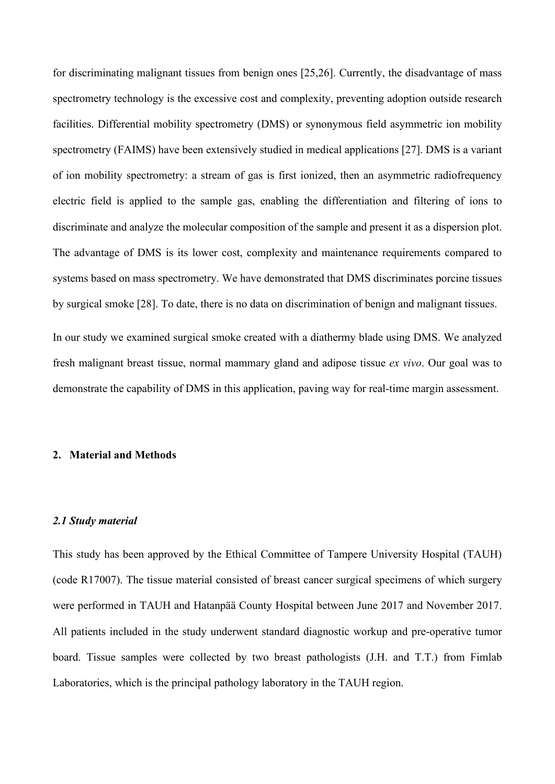for discriminating malignant tissues from benign ones [25,26]. Currently, the disadvantage of mass spectrometry technology is the excessive cost and complexity, preventing adoption outside research facilities. Differential mobility spectrometry (DMS) or synonymous field asymmetric ion mobility spectrometry (FAIMS) have been extensively studied in medical applications [27]. DMS is a variant of ion mobility spectrometry: a stream of gas is first ionized, then an asymmetric radiofrequency electric field is applied to the sample gas, enabling the differentiation and filtering of ions to discriminate and analyze the molecular composition of the sample and present it as a dispersion plot. The advantage of DMS is its lower cost, complexity and maintenance requirements compared to systems based on mass spectrometry. We have demonstrated that DMS discriminates porcine tissues by surgical smoke [28]. To date, there is no data on discrimination of benign and malignant tissues.

In our study we examined surgical smoke created with a diathermy blade using DMS. We analyzed fresh malignant breast tissue, normal mammary gland and adipose tissue *ex vivo*. Our goal was to demonstrate the capability of DMS in this application, paving way for real-time margin assessment.

### **2. Material and Methods**

#### *2.1 Study material*

This study has been approved by the Ethical Committee of Tampere University Hospital (TAUH) (code R17007). The tissue material consisted of breast cancer surgical specimens of which surgery were performed in TAUH and Hatanpää County Hospital between June 2017 and November 2017. All patients included in the study underwent standard diagnostic workup and pre-operative tumor board. Tissue samples were collected by two breast pathologists (J.H. and T.T.) from Fimlab Laboratories, which is the principal pathology laboratory in the TAUH region.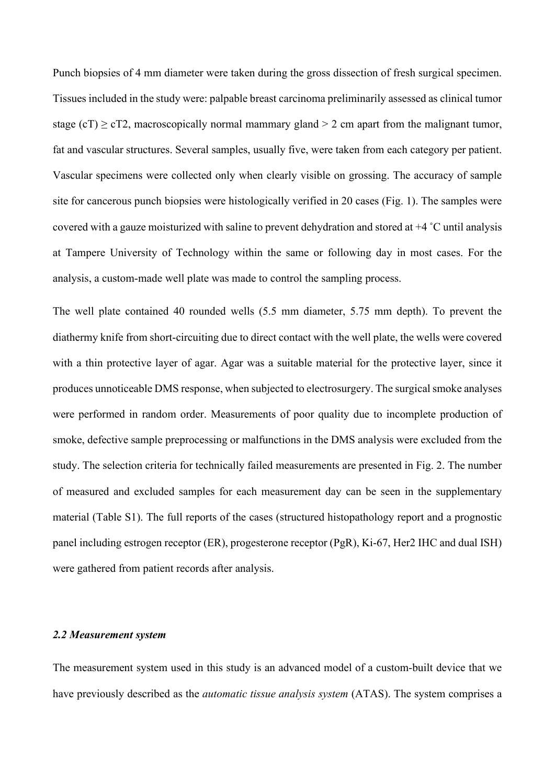Punch biopsies of 4 mm diameter were taken during the gross dissection of fresh surgical specimen. Tissues included in the study were: palpable breast carcinoma preliminarily assessed as clinical tumor stage (cT)  $\ge$  cT2, macroscopically normal mammary gland  $>$  2 cm apart from the malignant tumor, fat and vascular structures. Several samples, usually five, were taken from each category per patient. Vascular specimens were collected only when clearly visible on grossing. The accuracy of sample site for cancerous punch biopsies were histologically verified in 20 cases (Fig. 1). The samples were covered with a gauze moisturized with saline to prevent dehydration and stored at +4 ˚C until analysis at Tampere University of Technology within the same or following day in most cases. For the analysis, a custom-made well plate was made to control the sampling process.

The well plate contained 40 rounded wells (5.5 mm diameter, 5.75 mm depth). To prevent the diathermy knife from short-circuiting due to direct contact with the well plate, the wells were covered with a thin protective layer of agar. Agar was a suitable material for the protective layer, since it produces unnoticeable DMS response, when subjected to electrosurgery. The surgical smoke analyses were performed in random order. Measurements of poor quality due to incomplete production of smoke, defective sample preprocessing or malfunctions in the DMS analysis were excluded from the study. The selection criteria for technically failed measurements are presented in Fig. 2. The number of measured and excluded samples for each measurement day can be seen in the supplementary material (Table S1). The full reports of the cases (structured histopathology report and a prognostic panel including estrogen receptor (ER), progesterone receptor (PgR), Ki-67, Her2 IHC and dual ISH) were gathered from patient records after analysis.

#### *2.2 Measurement system*

The measurement system used in this study is an advanced model of a custom-built device that we have previously described as the *automatic tissue analysis system* (ATAS). The system comprises a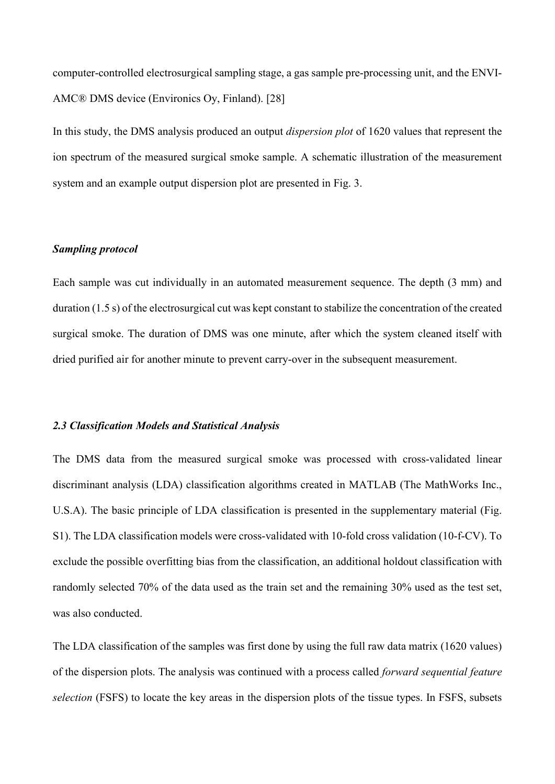computer-controlled electrosurgical sampling stage, a gas sample pre-processing unit, and the ENVI-AMC® DMS device (Environics Oy, Finland). [28]

In this study, the DMS analysis produced an output *dispersion plot* of 1620 values that represent the ion spectrum of the measured surgical smoke sample. A schematic illustration of the measurement system and an example output dispersion plot are presented in Fig. 3.

### *Sampling protocol*

Each sample was cut individually in an automated measurement sequence. The depth (3 mm) and duration (1.5 s) of the electrosurgical cut was kept constant to stabilize the concentration of the created surgical smoke. The duration of DMS was one minute, after which the system cleaned itself with dried purified air for another minute to prevent carry-over in the subsequent measurement.

### *2.3 Classification Models and Statistical Analysis*

The DMS data from the measured surgical smoke was processed with cross-validated linear discriminant analysis (LDA) classification algorithms created in MATLAB (The MathWorks Inc., U.S.A). The basic principle of LDA classification is presented in the supplementary material (Fig. S1). The LDA classification models were cross-validated with 10-fold cross validation (10-f-CV). To exclude the possible overfitting bias from the classification, an additional holdout classification with randomly selected 70% of the data used as the train set and the remaining 30% used as the test set, was also conducted.

The LDA classification of the samples was first done by using the full raw data matrix (1620 values) of the dispersion plots. The analysis was continued with a process called *forward sequential feature selection* (FSFS) to locate the key areas in the dispersion plots of the tissue types. In FSFS, subsets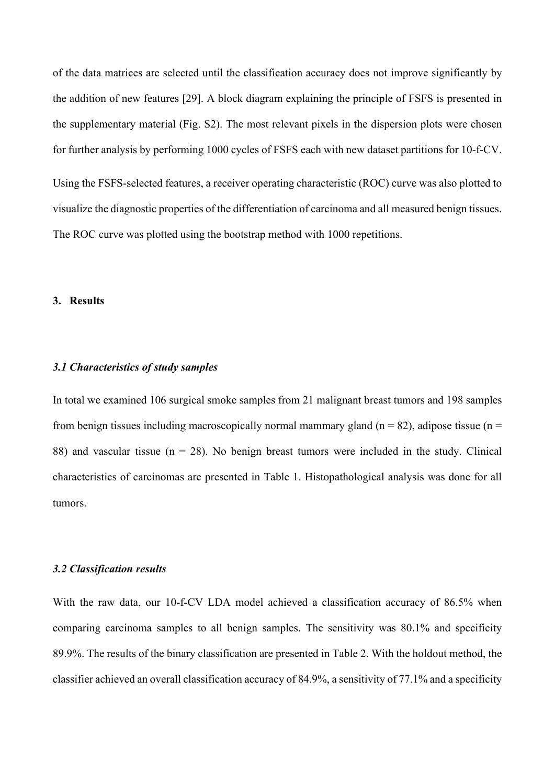of the data matrices are selected until the classification accuracy does not improve significantly by the addition of new features [29]. A block diagram explaining the principle of FSFS is presented in the supplementary material (Fig. S2). The most relevant pixels in the dispersion plots were chosen for further analysis by performing 1000 cycles of FSFS each with new dataset partitions for 10-f-CV.

Using the FSFS-selected features, a receiver operating characteristic (ROC) curve was also plotted to visualize the diagnostic properties of the differentiation of carcinoma and all measured benign tissues. The ROC curve was plotted using the bootstrap method with 1000 repetitions.

#### **3. Results**

#### *3.1 Characteristics of study samples*

In total we examined 106 surgical smoke samples from 21 malignant breast tumors and 198 samples from benign tissues including macroscopically normal mammary gland ( $n = 82$ ), adipose tissue ( $n =$ 88) and vascular tissue ( $n = 28$ ). No benign breast tumors were included in the study. Clinical characteristics of carcinomas are presented in Table 1. Histopathological analysis was done for all tumors.

### *3.2 Classification results*

With the raw data, our 10-f-CV LDA model achieved a classification accuracy of 86.5% when comparing carcinoma samples to all benign samples. The sensitivity was 80.1% and specificity 89.9%. The results of the binary classification are presented in Table 2. With the holdout method, the classifier achieved an overall classification accuracy of 84.9%, a sensitivity of 77.1% and a specificity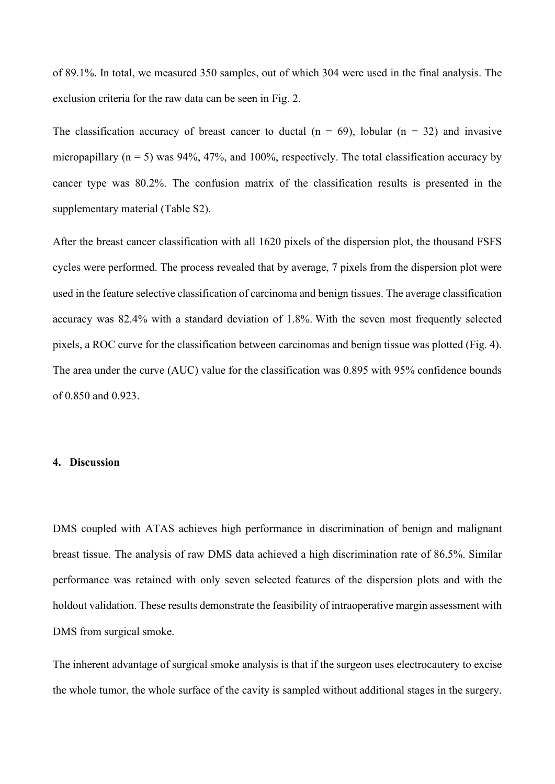of 89.1%. In total, we measured 350 samples, out of which 304 were used in the final analysis. The exclusion criteria for the raw data can be seen in Fig. 2.

The classification accuracy of breast cancer to ductal  $(n = 69)$ , lobular  $(n = 32)$  and invasive micropapillary  $(n = 5)$  was 94%, 47%, and 100%, respectively. The total classification accuracy by cancer type was 80.2%. The confusion matrix of the classification results is presented in the supplementary material (Table S2).

After the breast cancer classification with all 1620 pixels of the dispersion plot, the thousand FSFS cycles were performed. The process revealed that by average, 7 pixels from the dispersion plot were used in the feature selective classification of carcinoma and benign tissues. The average classification accuracy was 82.4% with a standard deviation of 1.8%. With the seven most frequently selected pixels, a ROC curve for the classification between carcinomas and benign tissue was plotted (Fig. 4). The area under the curve (AUC) value for the classification was 0.895 with 95% confidence bounds of 0.850 and 0.923.

### **4. Discussion**

DMS coupled with ATAS achieves high performance in discrimination of benign and malignant breast tissue. The analysis of raw DMS data achieved a high discrimination rate of 86.5%. Similar performance was retained with only seven selected features of the dispersion plots and with the holdout validation. These results demonstrate the feasibility of intraoperative margin assessment with DMS from surgical smoke.

The inherent advantage of surgical smoke analysis is that if the surgeon uses electrocautery to excise the whole tumor, the whole surface of the cavity is sampled without additional stages in the surgery.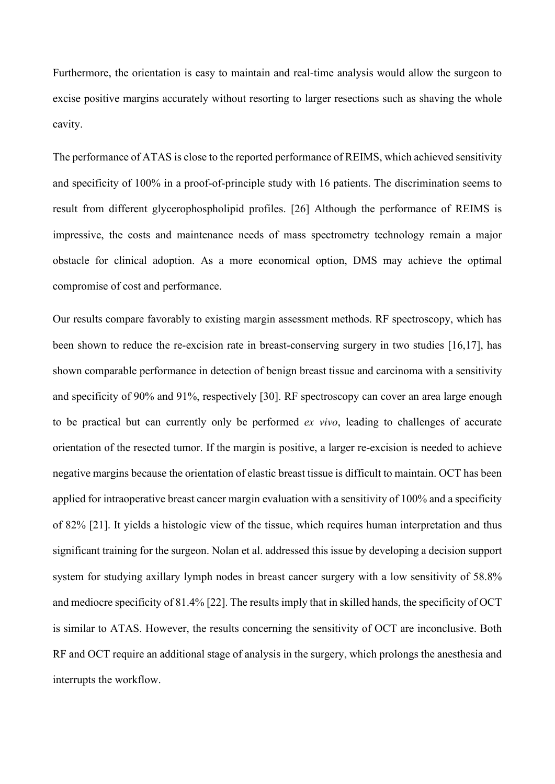Furthermore, the orientation is easy to maintain and real-time analysis would allow the surgeon to excise positive margins accurately without resorting to larger resections such as shaving the whole cavity.

The performance of ATAS is close to the reported performance of REIMS, which achieved sensitivity and specificity of 100% in a proof-of-principle study with 16 patients. The discrimination seems to result from different glycerophospholipid profiles. [26] Although the performance of REIMS is impressive, the costs and maintenance needs of mass spectrometry technology remain a major obstacle for clinical adoption. As a more economical option, DMS may achieve the optimal compromise of cost and performance.

Our results compare favorably to existing margin assessment methods. RF spectroscopy, which has been shown to reduce the re-excision rate in breast-conserving surgery in two studies [16,17], has shown comparable performance in detection of benign breast tissue and carcinoma with a sensitivity and specificity of 90% and 91%, respectively [30]. RF spectroscopy can cover an area large enough to be practical but can currently only be performed *ex vivo*, leading to challenges of accurate orientation of the resected tumor. If the margin is positive, a larger re-excision is needed to achieve negative margins because the orientation of elastic breast tissue is difficult to maintain. OCT has been applied for intraoperative breast cancer margin evaluation with a sensitivity of 100% and a specificity of 82% [21]. It yields a histologic view of the tissue, which requires human interpretation and thus significant training for the surgeon. Nolan et al. addressed this issue by developing a decision support system for studying axillary lymph nodes in breast cancer surgery with a low sensitivity of 58.8% and mediocre specificity of 81.4% [22]. The results imply that in skilled hands, the specificity of OCT is similar to ATAS. However, the results concerning the sensitivity of OCT are inconclusive. Both RF and OCT require an additional stage of analysis in the surgery, which prolongs the anesthesia and interrupts the workflow.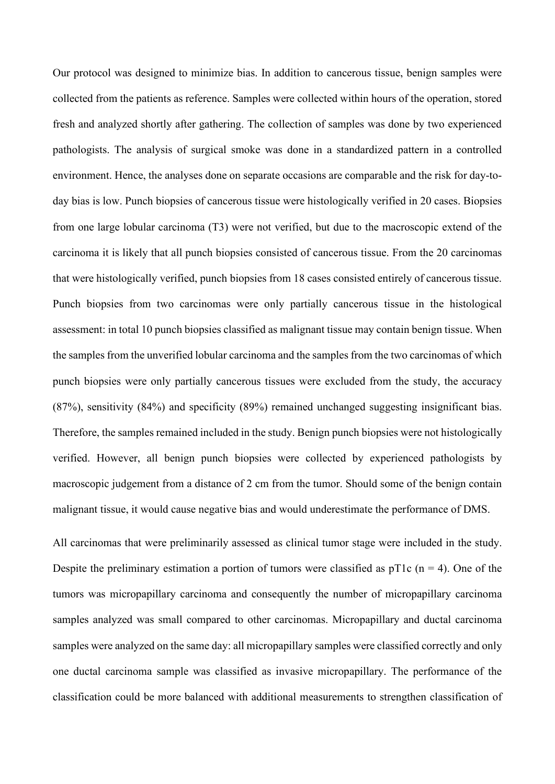Our protocol was designed to minimize bias. In addition to cancerous tissue, benign samples were collected from the patients as reference. Samples were collected within hours of the operation, stored fresh and analyzed shortly after gathering. The collection of samples was done by two experienced pathologists. The analysis of surgical smoke was done in a standardized pattern in a controlled environment. Hence, the analyses done on separate occasions are comparable and the risk for day-today bias is low. Punch biopsies of cancerous tissue were histologically verified in 20 cases. Biopsies from one large lobular carcinoma (T3) were not verified, but due to the macroscopic extend of the carcinoma it is likely that all punch biopsies consisted of cancerous tissue. From the 20 carcinomas that were histologically verified, punch biopsies from 18 cases consisted entirely of cancerous tissue. Punch biopsies from two carcinomas were only partially cancerous tissue in the histological assessment: in total 10 punch biopsies classified as malignant tissue may contain benign tissue. When the samples from the unverified lobular carcinoma and the samples from the two carcinomas of which punch biopsies were only partially cancerous tissues were excluded from the study, the accuracy (87%), sensitivity (84%) and specificity (89%) remained unchanged suggesting insignificant bias. Therefore, the samples remained included in the study. Benign punch biopsies were not histologically verified. However, all benign punch biopsies were collected by experienced pathologists by macroscopic judgement from a distance of 2 cm from the tumor. Should some of the benign contain malignant tissue, it would cause negative bias and would underestimate the performance of DMS.

All carcinomas that were preliminarily assessed as clinical tumor stage were included in the study. Despite the preliminary estimation a portion of tumors were classified as  $pT1c$  (n = 4). One of the tumors was micropapillary carcinoma and consequently the number of micropapillary carcinoma samples analyzed was small compared to other carcinomas. Micropapillary and ductal carcinoma samples were analyzed on the same day: all micropapillary samples were classified correctly and only one ductal carcinoma sample was classified as invasive micropapillary. The performance of the classification could be more balanced with additional measurements to strengthen classification of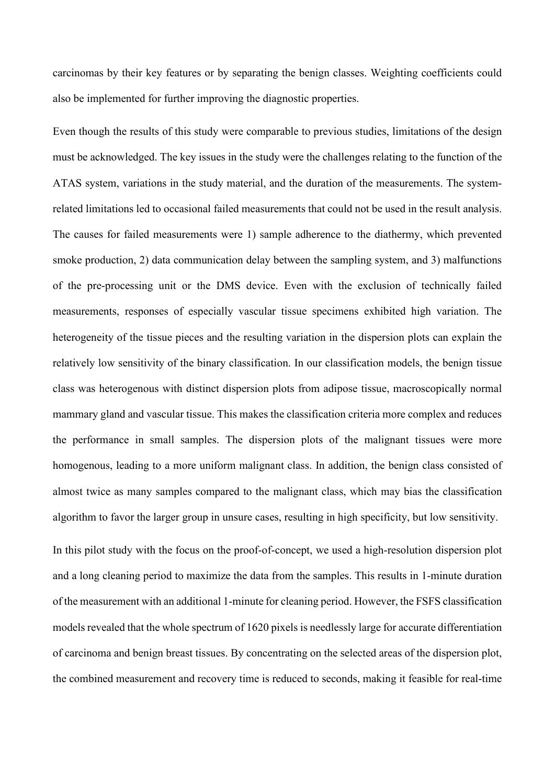carcinomas by their key features or by separating the benign classes. Weighting coefficients could also be implemented for further improving the diagnostic properties.

Even though the results of this study were comparable to previous studies, limitations of the design must be acknowledged. The key issues in the study were the challenges relating to the function of the ATAS system, variations in the study material, and the duration of the measurements. The systemrelated limitations led to occasional failed measurements that could not be used in the result analysis. The causes for failed measurements were 1) sample adherence to the diathermy, which prevented smoke production, 2) data communication delay between the sampling system, and 3) malfunctions of the pre-processing unit or the DMS device. Even with the exclusion of technically failed measurements, responses of especially vascular tissue specimens exhibited high variation. The heterogeneity of the tissue pieces and the resulting variation in the dispersion plots can explain the relatively low sensitivity of the binary classification. In our classification models, the benign tissue class was heterogenous with distinct dispersion plots from adipose tissue, macroscopically normal mammary gland and vascular tissue. This makes the classification criteria more complex and reduces the performance in small samples. The dispersion plots of the malignant tissues were more homogenous, leading to a more uniform malignant class. In addition, the benign class consisted of almost twice as many samples compared to the malignant class, which may bias the classification algorithm to favor the larger group in unsure cases, resulting in high specificity, but low sensitivity.

In this pilot study with the focus on the proof-of-concept, we used a high-resolution dispersion plot and a long cleaning period to maximize the data from the samples. This results in 1-minute duration of the measurement with an additional 1-minute for cleaning period. However, the FSFS classification models revealed that the whole spectrum of 1620 pixels is needlessly large for accurate differentiation of carcinoma and benign breast tissues. By concentrating on the selected areas of the dispersion plot, the combined measurement and recovery time is reduced to seconds, making it feasible for real-time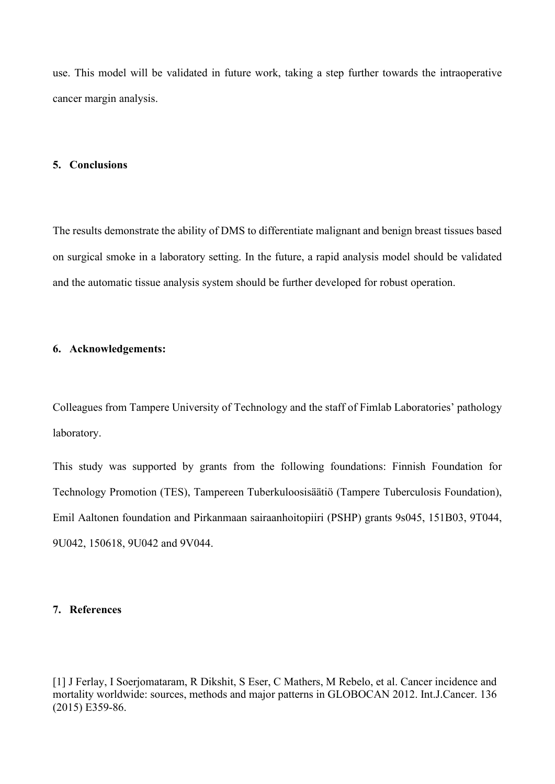use. This model will be validated in future work, taking a step further towards the intraoperative cancer margin analysis.

#### **5. Conclusions**

The results demonstrate the ability of DMS to differentiate malignant and benign breast tissues based on surgical smoke in a laboratory setting. In the future, a rapid analysis model should be validated and the automatic tissue analysis system should be further developed for robust operation.

### **6. Acknowledgements:**

Colleagues from Tampere University of Technology and the staff of Fimlab Laboratories' pathology laboratory.

This study was supported by grants from the following foundations: Finnish Foundation for Technology Promotion (TES), Tampereen Tuberkuloosisäätiö (Tampere Tuberculosis Foundation), Emil Aaltonen foundation and Pirkanmaan sairaanhoitopiiri (PSHP) grants 9s045, 151B03, 9T044, 9U042, 150618, 9U042 and 9V044.

### **7. References**

[1] J Ferlay, I Soerjomataram, R Dikshit, S Eser, C Mathers, M Rebelo, et al. Cancer incidence and mortality worldwide: sources, methods and major patterns in GLOBOCAN 2012. Int.J.Cancer. 136 (2015) E359-86.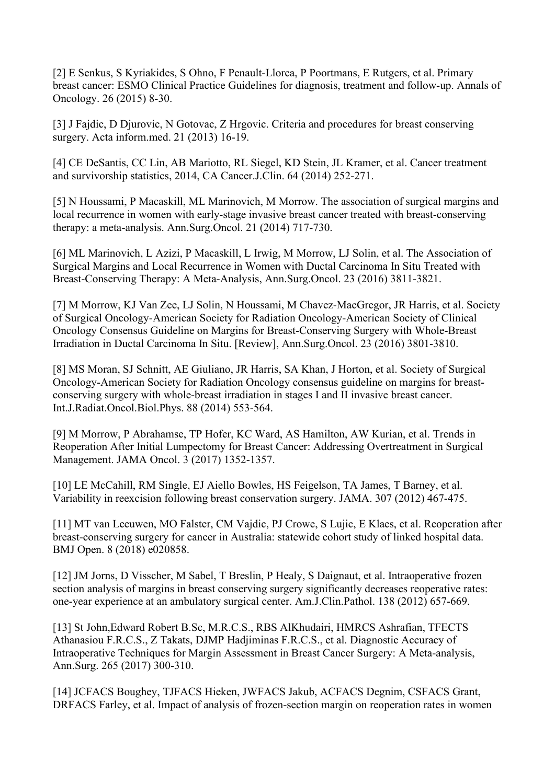[2] E Senkus, S Kyriakides, S Ohno, F Penault-Llorca, P Poortmans, E Rutgers, et al. Primary breast cancer: ESMO Clinical Practice Guidelines for diagnosis, treatment and follow-up. Annals of Oncology. 26 (2015) 8-30.

[3] J Fajdic, D Djurovic, N Gotovac, Z Hrgovic. Criteria and procedures for breast conserving surgery. Acta inform.med. 21 (2013) 16-19.

[4] CE DeSantis, CC Lin, AB Mariotto, RL Siegel, KD Stein, JL Kramer, et al. Cancer treatment and survivorship statistics, 2014, CA Cancer.J.Clin. 64 (2014) 252-271.

[5] N Houssami, P Macaskill, ML Marinovich, M Morrow. The association of surgical margins and local recurrence in women with early-stage invasive breast cancer treated with breast-conserving therapy: a meta-analysis. Ann.Surg.Oncol. 21 (2014) 717-730.

[6] ML Marinovich, L Azizi, P Macaskill, L Irwig, M Morrow, LJ Solin, et al. The Association of Surgical Margins and Local Recurrence in Women with Ductal Carcinoma In Situ Treated with Breast-Conserving Therapy: A Meta-Analysis, Ann.Surg.Oncol. 23 (2016) 3811-3821.

[7] M Morrow, KJ Van Zee, LJ Solin, N Houssami, M Chavez-MacGregor, JR Harris, et al. Society of Surgical Oncology-American Society for Radiation Oncology-American Society of Clinical Oncology Consensus Guideline on Margins for Breast-Conserving Surgery with Whole-Breast Irradiation in Ductal Carcinoma In Situ. [Review], Ann.Surg.Oncol. 23 (2016) 3801-3810.

[8] MS Moran, SJ Schnitt, AE Giuliano, JR Harris, SA Khan, J Horton, et al. Society of Surgical Oncology-American Society for Radiation Oncology consensus guideline on margins for breastconserving surgery with whole-breast irradiation in stages I and II invasive breast cancer. Int.J.Radiat.Oncol.Biol.Phys. 88 (2014) 553-564.

[9] M Morrow, P Abrahamse, TP Hofer, KC Ward, AS Hamilton, AW Kurian, et al. Trends in Reoperation After Initial Lumpectomy for Breast Cancer: Addressing Overtreatment in Surgical Management. JAMA Oncol. 3 (2017) 1352-1357.

[10] LE McCahill, RM Single, EJ Aiello Bowles, HS Feigelson, TA James, T Barney, et al. Variability in reexcision following breast conservation surgery. JAMA. 307 (2012) 467-475.

[11] MT van Leeuwen, MO Falster, CM Vajdic, PJ Crowe, S Lujic, E Klaes, et al. Reoperation after breast-conserving surgery for cancer in Australia: statewide cohort study of linked hospital data. BMJ Open. 8 (2018) e020858.

[12] JM Jorns, D Visscher, M Sabel, T Breslin, P Healy, S Daignaut, et al. Intraoperative frozen section analysis of margins in breast conserving surgery significantly decreases reoperative rates: one-year experience at an ambulatory surgical center. Am.J.Clin.Pathol. 138 (2012) 657-669.

[13] St John,Edward Robert B.Sc, M.R.C.S., RBS AlKhudairi, HMRCS Ashrafian, TFECTS Athanasiou F.R.C.S., Z Takats, DJMP Hadjiminas F.R.C.S., et al. Diagnostic Accuracy of Intraoperative Techniques for Margin Assessment in Breast Cancer Surgery: A Meta-analysis, Ann.Surg. 265 (2017) 300-310.

[14] JCFACS Boughey, TJFACS Hieken, JWFACS Jakub, ACFACS Degnim, CSFACS Grant, DRFACS Farley, et al. Impact of analysis of frozen-section margin on reoperation rates in women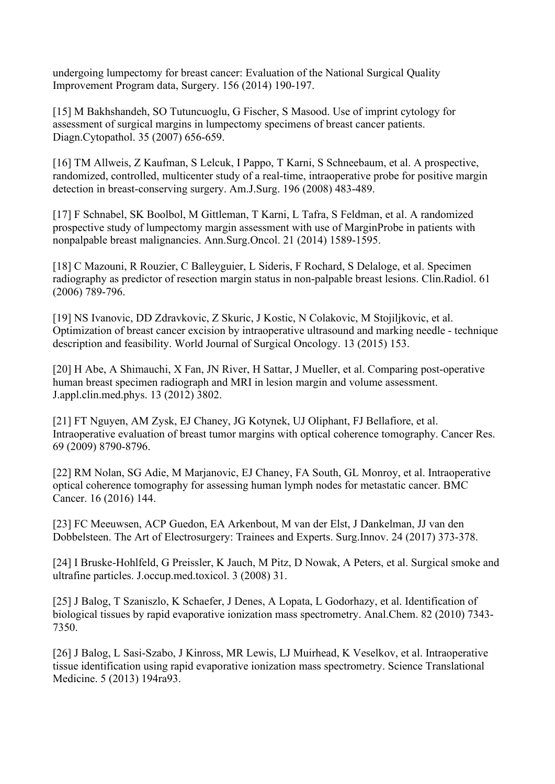undergoing lumpectomy for breast cancer: Evaluation of the National Surgical Quality Improvement Program data, Surgery. 156 (2014) 190-197.

[15] M Bakhshandeh, SO Tutuncuoglu, G Fischer, S Masood. Use of imprint cytology for assessment of surgical margins in lumpectomy specimens of breast cancer patients. Diagn.Cytopathol. 35 (2007) 656-659.

[16] TM Allweis, Z Kaufman, S Lelcuk, I Pappo, T Karni, S Schneebaum, et al. A prospective, randomized, controlled, multicenter study of a real-time, intraoperative probe for positive margin detection in breast-conserving surgery. Am.J.Surg. 196 (2008) 483-489.

[17] F Schnabel, SK Boolbol, M Gittleman, T Karni, L Tafra, S Feldman, et al. A randomized prospective study of lumpectomy margin assessment with use of MarginProbe in patients with nonpalpable breast malignancies. Ann.Surg.Oncol. 21 (2014) 1589-1595.

[18] C Mazouni, R Rouzier, C Balleyguier, L Sideris, F Rochard, S Delaloge, et al. Specimen radiography as predictor of resection margin status in non-palpable breast lesions. Clin.Radiol. 61 (2006) 789-796.

[19] NS Ivanovic, DD Zdravkovic, Z Skuric, J Kostic, N Colakovic, M Stojiljkovic, et al. Optimization of breast cancer excision by intraoperative ultrasound and marking needle - technique description and feasibility. World Journal of Surgical Oncology. 13 (2015) 153.

[20] H Abe, A Shimauchi, X Fan, JN River, H Sattar, J Mueller, et al. Comparing post-operative human breast specimen radiograph and MRI in lesion margin and volume assessment. J.appl.clin.med.phys. 13 (2012) 3802.

[21] FT Nguyen, AM Zysk, EJ Chaney, JG Kotynek, UJ Oliphant, FJ Bellafiore, et al. Intraoperative evaluation of breast tumor margins with optical coherence tomography. Cancer Res. 69 (2009) 8790-8796.

[22] RM Nolan, SG Adie, M Marjanovic, EJ Chaney, FA South, GL Monroy, et al. Intraoperative optical coherence tomography for assessing human lymph nodes for metastatic cancer. BMC Cancer. 16 (2016) 144.

[23] FC Meeuwsen, ACP Guedon, EA Arkenbout, M van der Elst, J Dankelman, JJ van den Dobbelsteen. The Art of Electrosurgery: Trainees and Experts. Surg.Innov. 24 (2017) 373-378.

[24] I Bruske-Hohlfeld, G Preissler, K Jauch, M Pitz, D Nowak, A Peters, et al. Surgical smoke and ultrafine particles. J.occup.med.toxicol. 3 (2008) 31.

[25] J Balog, T Szaniszlo, K Schaefer, J Denes, A Lopata, L Godorhazy, et al. Identification of biological tissues by rapid evaporative ionization mass spectrometry. Anal.Chem. 82 (2010) 7343- 7350.

[26] J Balog, L Sasi-Szabo, J Kinross, MR Lewis, LJ Muirhead, K Veselkov, et al. Intraoperative tissue identification using rapid evaporative ionization mass spectrometry. Science Translational Medicine. 5 (2013) 194ra93.